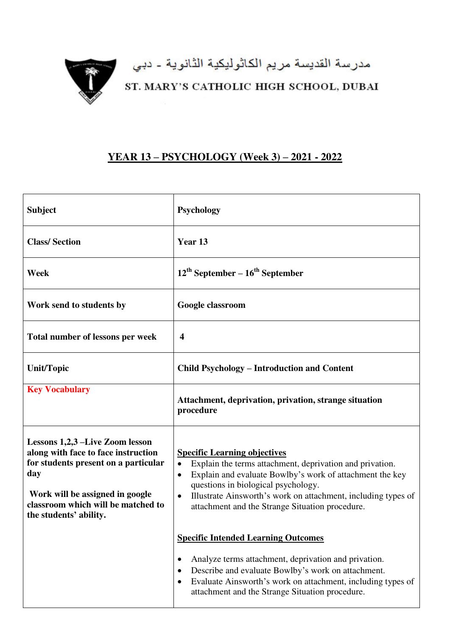

مدرسة القديسة مريم الكاثوليكية الثانوية - دبي<br>ST. MARY'S CATHOLIC HIGH SCHOOL, DUBAI

## **YEAR 13 – PSYCHOLOGY (Week 3) – 2021 - 2022**

| <b>Subject</b>                                                                                                                                                                                                           | <b>Psychology</b>                                                                                                                                                                                                                                                                                                                                             |
|--------------------------------------------------------------------------------------------------------------------------------------------------------------------------------------------------------------------------|---------------------------------------------------------------------------------------------------------------------------------------------------------------------------------------------------------------------------------------------------------------------------------------------------------------------------------------------------------------|
| <b>Class/Section</b>                                                                                                                                                                                                     | Year 13                                                                                                                                                                                                                                                                                                                                                       |
| Week                                                                                                                                                                                                                     | $12^{\text{th}}$ September – $16^{\text{th}}$ September                                                                                                                                                                                                                                                                                                       |
| Work send to students by                                                                                                                                                                                                 | Google classroom                                                                                                                                                                                                                                                                                                                                              |
| Total number of lessons per week                                                                                                                                                                                         | 4                                                                                                                                                                                                                                                                                                                                                             |
| <b>Unit/Topic</b>                                                                                                                                                                                                        | <b>Child Psychology – Introduction and Content</b>                                                                                                                                                                                                                                                                                                            |
| <b>Key Vocabulary</b>                                                                                                                                                                                                    | Attachment, deprivation, privation, strange situation<br>procedure                                                                                                                                                                                                                                                                                            |
| Lessons 1,2,3 –Live Zoom lesson<br>along with face to face instruction<br>for students present on a particular<br>day<br>Work will be assigned in google<br>classroom which will be matched to<br>the students' ability. | <b>Specific Learning objectives</b><br>Explain the terms attachment, deprivation and privation.<br>$\bullet$<br>Explain and evaluate Bowlby's work of attachment the key<br>$\bullet$<br>questions in biological psychology.<br>Illustrate Ainsworth's work on attachment, including types of<br>$\bullet$<br>attachment and the Strange Situation procedure. |
|                                                                                                                                                                                                                          | <b>Specific Intended Learning Outcomes</b><br>Analyze terms attachment, deprivation and privation.<br>٠<br>Describe and evaluate Bowlby's work on attachment.<br>٠<br>Evaluate Ainsworth's work on attachment, including types of<br>$\bullet$<br>attachment and the Strange Situation procedure.                                                             |